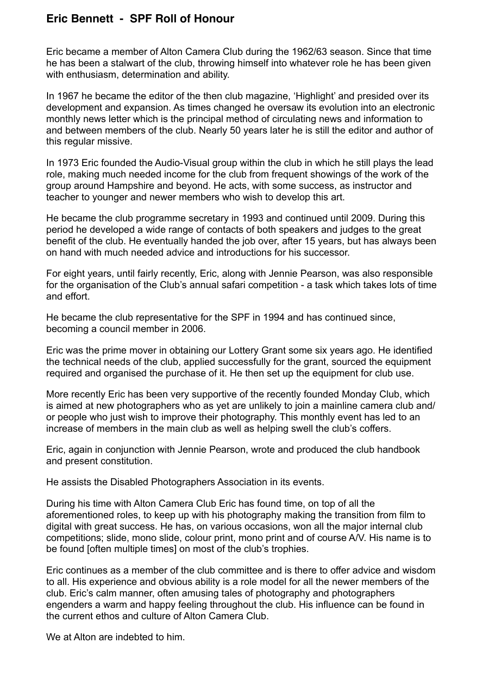## **Eric Bennett - SPF Roll of Honour**

Eric became a member of Alton Camera Club during the 1962/63 season. Since that time he has been a stalwart of the club, throwing himself into whatever role he has been given with enthusiasm, determination and ability.

In 1967 he became the editor of the then club magazine, 'Highlight' and presided over its development and expansion. As times changed he oversaw its evolution into an electronic monthly news letter which is the principal method of circulating news and information to and between members of the club. Nearly 50 years later he is still the editor and author of this regular missive.

In 1973 Eric founded the Audio-Visual group within the club in which he still plays the lead role, making much needed income for the club from frequent showings of the work of the group around Hampshire and beyond. He acts, with some success, as instructor and teacher to younger and newer members who wish to develop this art.

He became the club programme secretary in 1993 and continued until 2009. During this period he developed a wide range of contacts of both speakers and judges to the great benefit of the club. He eventually handed the job over, after 15 years, but has always been on hand with much needed advice and introductions for his successor.

For eight years, until fairly recently, Eric, along with Jennie Pearson, was also responsible for the organisation of the Club's annual safari competition - a task which takes lots of time and effort.

He became the club representative for the SPF in 1994 and has continued since, becoming a council member in 2006.

Eric was the prime mover in obtaining our Lottery Grant some six years ago. He identified the technical needs of the club, applied successfully for the grant, sourced the equipment required and organised the purchase of it. He then set up the equipment for club use.

More recently Eric has been very supportive of the recently founded Monday Club, which is aimed at new photographers who as yet are unlikely to join a mainline camera club and/ or people who just wish to improve their photography. This monthly event has led to an increase of members in the main club as well as helping swell the club's coffers.

Eric, again in conjunction with Jennie Pearson, wrote and produced the club handbook and present constitution.

He assists the Disabled Photographers Association in its events.

During his time with Alton Camera Club Eric has found time, on top of all the aforementioned roles, to keep up with his photography making the transition from film to digital with great success. He has, on various occasions, won all the major internal club competitions; slide, mono slide, colour print, mono print and of course A/V. His name is to be found [often multiple times] on most of the club's trophies.

Eric continues as a member of the club committee and is there to offer advice and wisdom to all. His experience and obvious ability is a role model for all the newer members of the club. Eric's calm manner, often amusing tales of photography and photographers engenders a warm and happy feeling throughout the club. His influence can be found in the current ethos and culture of Alton Camera Club.

We at Alton are indebted to him.